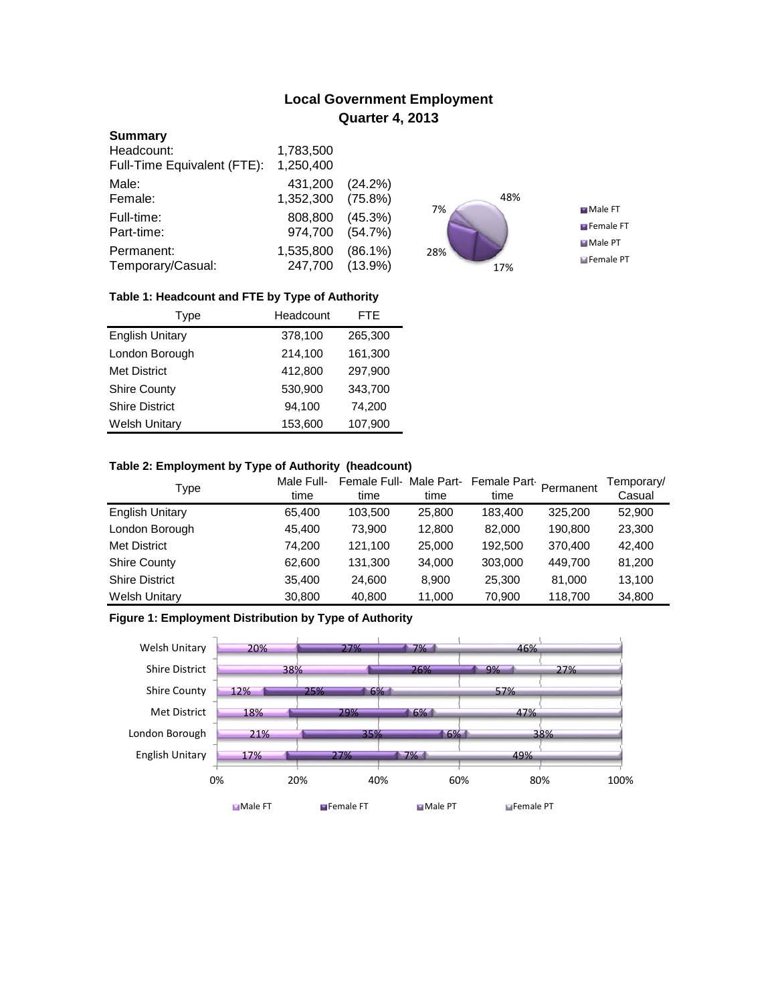# **Local Government Employment Quarter 4, 2013**

### **Summary**

| Headcount:                  | 1,783,500 |            |
|-----------------------------|-----------|------------|
| Full-Time Equivalent (FTE): | 1,250,400 |            |
| Male:                       | 431,200   | (24.2%)    |
| Female:                     | 1,352,300 | $(75.8\%)$ |
| Full-time:                  | 808,800   | $(45.3\%)$ |
| Part-time:                  | 974,700   | (54.7%)    |
| Permanent:                  | 1,535,800 | $(86.1\%)$ |
| Temporary/Casual:           | 247,700   | $(13.9\%)$ |



## **Table 1: Headcount and FTE by Type of Authority**

| Type                   | Headcount |         |
|------------------------|-----------|---------|
| <b>English Unitary</b> | 378,100   | 265,300 |
| London Borough         | 214,100   | 161,300 |
| <b>Met District</b>    | 412,800   | 297,900 |
| <b>Shire County</b>    | 530,900   | 343,700 |
| <b>Shire District</b>  | 94.100    | 74,200  |
| <b>Welsh Unitary</b>   | 153,600   | 107,900 |

## **Table 2: Employment by Type of Authority (headcount)**

| Type                   | Male Full-<br>time | Female Full-Male Part-<br>time | time   | Female Part-<br>time | Permanent | Temporary/<br>Casual |
|------------------------|--------------------|--------------------------------|--------|----------------------|-----------|----------------------|
| <b>English Unitary</b> | 65.400             | 103,500                        | 25,800 | 183.400              | 325,200   | 52,900               |
| London Borough         | 45,400             | 73.900                         | 12,800 | 82,000               | 190,800   | 23,300               |
| <b>Met District</b>    | 74,200             | 121.100                        | 25,000 | 192,500              | 370,400   | 42,400               |
| <b>Shire County</b>    | 62,600             | 131,300                        | 34,000 | 303,000              | 449.700   | 81,200               |
| <b>Shire District</b>  | 35,400             | 24,600                         | 8.900  | 25,300               | 81.000    | 13,100               |
| <b>Welsh Unitary</b>   | 30,800             | 40,800                         | 11,000 | 70,900               | 118,700   | 34,800               |

## **Figure 1: Employment Distribution by Type of Authority**